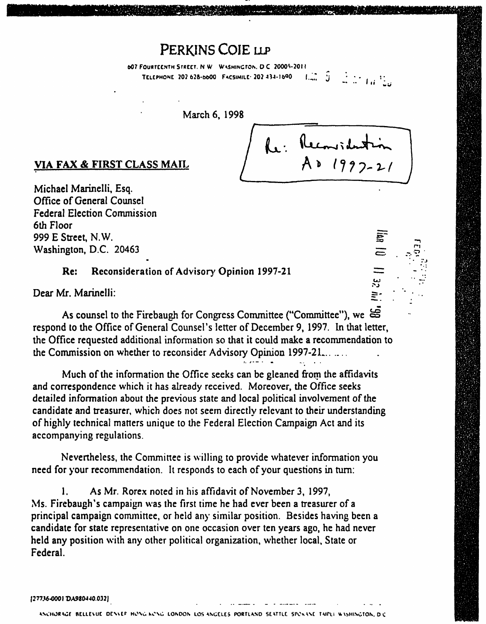## PERKINS COIE LLP

607 FOURTCENTH STREET. N W WASHINGTON, D C 20005-2011<br>TELEPHONE 202 628-6600 FACSIMILE: 202 434-1690 [[100] [100] [100] [100] [100] [100] TELEPHONE 202 628-0000 FACSIMILE 202 434-1090

March 6, 1998



r>  $\tilde{ }$ 

UI 32 III

## VIA FAX & FIRST CLASS MAIL

Michael Marinelli, Esq. Office of General Counsel Federal Election Commission 6th Floor 999 E Street, N.W. Washington, D.C. 20463

Re: Reconsideration of Advisory Opinion 1997-21

Dear Mr. Marinelli:

As counsel to the Firebaugh for Congress Committee ("Committee"), we  $\leq$ respond to the Office of General Counsel's letter of December 9, 1997. In that letter, the Office requested additional information so that it could make a recommendation to the Commission on whether to reconsider Advisory Opinion 1997-21.......

Much of the information the Office seeks can be gleaned from the affidavits and correspondence which it has already received. Moreover, the Office seeks detailed information about the previous state and local political involvement of the candidate and treasurer, which does not seem directly relevant to their understanding of highly technical matters unique to the Federal Election Campaign Act and its accompanying regulations.

Nevertheless, the Committee is willing to provide whatever information you need for your recommendation. It responds to each of your questions in turn:

1. As Mr. Rorex noted in his affidavit of November 3, 1997, Ms. Firebaugh's campaign was the first time he had ever been a treasurer of a principal campaign committee, or held any similar position. Besides having been a candidate for state representative on one occasion over ten years ago, he had never held any position with any other political organization, whether local, State or Federal.

(277.16-0001 DA980440 032 J

ANCHORAGE BELLEVUE DENVEF HONG-KONG LONDON LOS ANGELES PORTLAND SEATTLE SPONANE TAIPLI WASHINGTON, DIC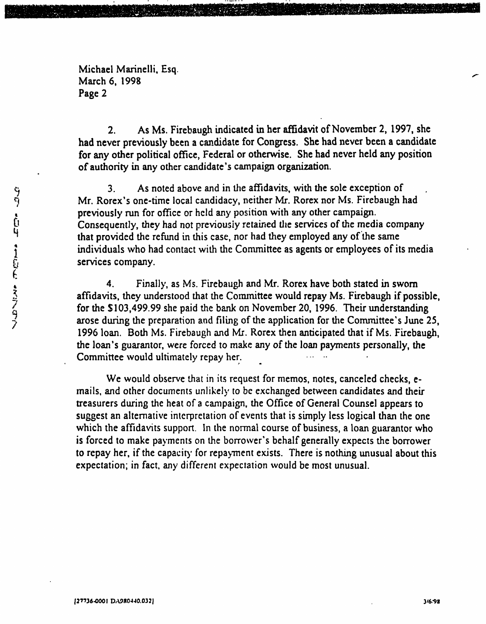Michael Marinelli, Esq. March 6, 1998 Page 2

2. As Ms. Firebaugh indicated in her affidavit of November 2, 1997, she had never previously been a candidate for Congress. She had never been a candidate for any other political office, Federal or otherwise. She had never held any position of authority in any other candidate's campaign organization.

3. As noted above and in the affidavits, with the sole exception of Mr. Rorex's one-time local candidacy, neither Mr. Rorex nor Ms. Firebaugh had previously run for office or held any position with any other campaign. Consequently, they had not previously retained the services of the media company that provided the refund in this case, nor had they employed any of the same individuals who had contact with the Committee as agents or employees of its media services company.

4. Finally, as Ms. Firebaugh and Mr. Rorex have both stated in sworn affidavits, they understood that the Committee would repay Ms. Firebaugh if possible, for the SI03,499.99 she paid the bank on November 20, 1996. Their understanding arose during the preparation and filing of the application for the Committee's June 25, 1996 loan. Both Ms. Firebaugh and Mr. Rorex then anticipated that if Ms. Firebaugh, the loan's guarantor, were forced to make any of the loan payments personally, the Committee would ultimately repay her.

We would observe that in its request for memos, notes, canceled checks, emails, and other documents unlikely to be exchanged between candidates and their treasurers during the heat of a campaign, the Office of General Counsel appears to suggest an alternative interpretation of events that is simply less logical than the one which the affidavits support. In the normal course of business, a loan guarantor who is forced to make payments on the borrower's behalf generally expects the borrower to repay her, if the capacity for repayment exists. There is nothing unusual about this expectation; in fact, any different expectation would be most unusual.